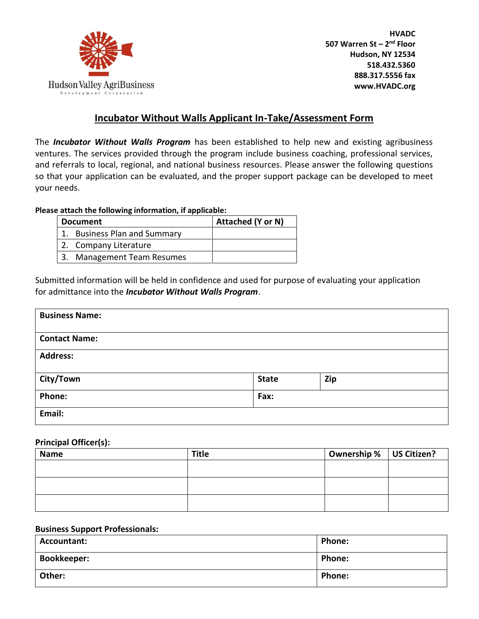

**HVADC 507 Warren St – 2 nd Floor Hudson, NY 12534 518.432.5360 888.317.5556 fax www.HVADC.org**

# **Incubator Without Walls Applicant In-Take/Assessment Form**

The *Incubator Without Walls Program* has been established to help new and existing agribusiness ventures. The services provided through the program include business coaching, professional services, and referrals to local, regional, and national business resources. Please answer the following questions so that your application can be evaluated, and the proper support package can be developed to meet your needs.

### **Please attach the following information, if applicable:**

|    | <b>Document</b>                  | Attached (Y or N) |
|----|----------------------------------|-------------------|
|    | <b>Business Plan and Summary</b> |                   |
|    | 2. Company Literature            |                   |
| 3. | <b>Management Team Resumes</b>   |                   |

Submitted information will be held in confidence and used for purpose of evaluating your application for admittance into the *Incubator Without Walls Program*.

| <b>Business Name:</b> |              |     |  |
|-----------------------|--------------|-----|--|
| <b>Contact Name:</b>  |              |     |  |
| <b>Address:</b>       |              |     |  |
| City/Town             | <b>State</b> | Zip |  |
| Phone:                | Fax:         |     |  |
| Email:                |              |     |  |

#### **Principal Officer(s):**

| <b>Name</b> | <b>Title</b> | Ownership %   US Citizen? |  |
|-------------|--------------|---------------------------|--|
|             |              |                           |  |
|             |              |                           |  |
|             |              |                           |  |
|             |              |                           |  |
|             |              |                           |  |
|             |              |                           |  |

#### **Business Support Professionals:**

| Accountant:        | <b>Phone:</b> |
|--------------------|---------------|
| <b>Bookkeeper:</b> | <b>Phone:</b> |
| Other:             | <b>Phone:</b> |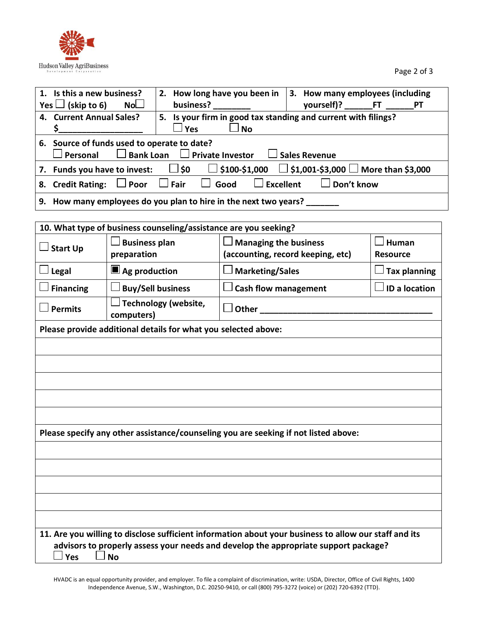

Page 2 of 3

| 1. Is this a new business?                                                                                                   |  | 2. How long have you been in                                                                                                                                                                                                      |      |  | 3. How many employees (including |  |
|------------------------------------------------------------------------------------------------------------------------------|--|-----------------------------------------------------------------------------------------------------------------------------------------------------------------------------------------------------------------------------------|------|--|----------------------------------|--|
| Yes $\Box$ (skip to 6) No $\Box$                                                                                             |  | business?                                                                                                                                                                                                                         |      |  | yourself)? ________FT _______PT  |  |
| 4. Current Annual Sales?                                                                                                     |  | 5. Is your firm in good tax standing and current with filings?                                                                                                                                                                    |      |  |                                  |  |
|                                                                                                                              |  | $\Box$ Yes                                                                                                                                                                                                                        | J No |  |                                  |  |
| 6. Source of funds used to operate to date?<br>$\Box$ Personal $\Box$ Bank Loan $\Box$ Private Investor $\Box$ Sales Revenue |  |                                                                                                                                                                                                                                   |      |  |                                  |  |
| 7. Funds you have to invest: $\Box$ \$0 $\Box$ \$100-\$1,000 $\Box$ \$1,001-\$3,000 $\Box$ More than \$3,000                 |  |                                                                                                                                                                                                                                   |      |  |                                  |  |
| 8. Credit Rating: $\Box$ Poor $\Box$ Fair $\Box$ Good $\Box$ Excellent                                                       |  |                                                                                                                                                                                                                                   |      |  | $\Box$ Don't know                |  |
|                                                                                                                              |  | $\mathbf{r}$ , and a set of the set of the set of the set of the set of the set of the set of the set of the set of the set of the set of the set of the set of the set of the set of the set of the set of the set of the set of |      |  |                                  |  |

**9. How many employees do you plan to hire in the next two years? \_\_\_\_\_\_\_**

| 10. What type of business counseling/assistance are you seeking?                                        |                                                                |                                                                   |                          |  |  |  |  |
|---------------------------------------------------------------------------------------------------------|----------------------------------------------------------------|-------------------------------------------------------------------|--------------------------|--|--|--|--|
| <b>Start Up</b>                                                                                         | <b>Business plan</b><br>preparation                            | <b>Managing the business</b><br>(accounting, record keeping, etc) | Human<br><b>Resource</b> |  |  |  |  |
| Legal                                                                                                   | $\blacksquare$ Ag production                                   | <b>Marketing/Sales</b>                                            | <b>Tax planning</b>      |  |  |  |  |
| <b>Financing</b>                                                                                        | <b>Buy/Sell business</b>                                       | <b>Cash flow management</b>                                       | <b>ID a location</b>     |  |  |  |  |
| <b>Permits</b>                                                                                          | <b>Technology (website,</b><br>computers)                      | Other                                                             |                          |  |  |  |  |
|                                                                                                         | Please provide additional details for what you selected above: |                                                                   |                          |  |  |  |  |
|                                                                                                         |                                                                |                                                                   |                          |  |  |  |  |
|                                                                                                         |                                                                |                                                                   |                          |  |  |  |  |
|                                                                                                         |                                                                |                                                                   |                          |  |  |  |  |
|                                                                                                         |                                                                |                                                                   |                          |  |  |  |  |
|                                                                                                         |                                                                |                                                                   |                          |  |  |  |  |
| Please specify any other assistance/counseling you are seeking if not listed above:                     |                                                                |                                                                   |                          |  |  |  |  |
|                                                                                                         |                                                                |                                                                   |                          |  |  |  |  |
|                                                                                                         |                                                                |                                                                   |                          |  |  |  |  |
|                                                                                                         |                                                                |                                                                   |                          |  |  |  |  |
|                                                                                                         |                                                                |                                                                   |                          |  |  |  |  |
|                                                                                                         |                                                                |                                                                   |                          |  |  |  |  |
| 11. Are you willing to disclose sufficient information about your business to allow our staff and its   |                                                                |                                                                   |                          |  |  |  |  |
| advisors to properly assess your needs and develop the appropriate support package?<br>Yes<br><b>No</b> |                                                                |                                                                   |                          |  |  |  |  |